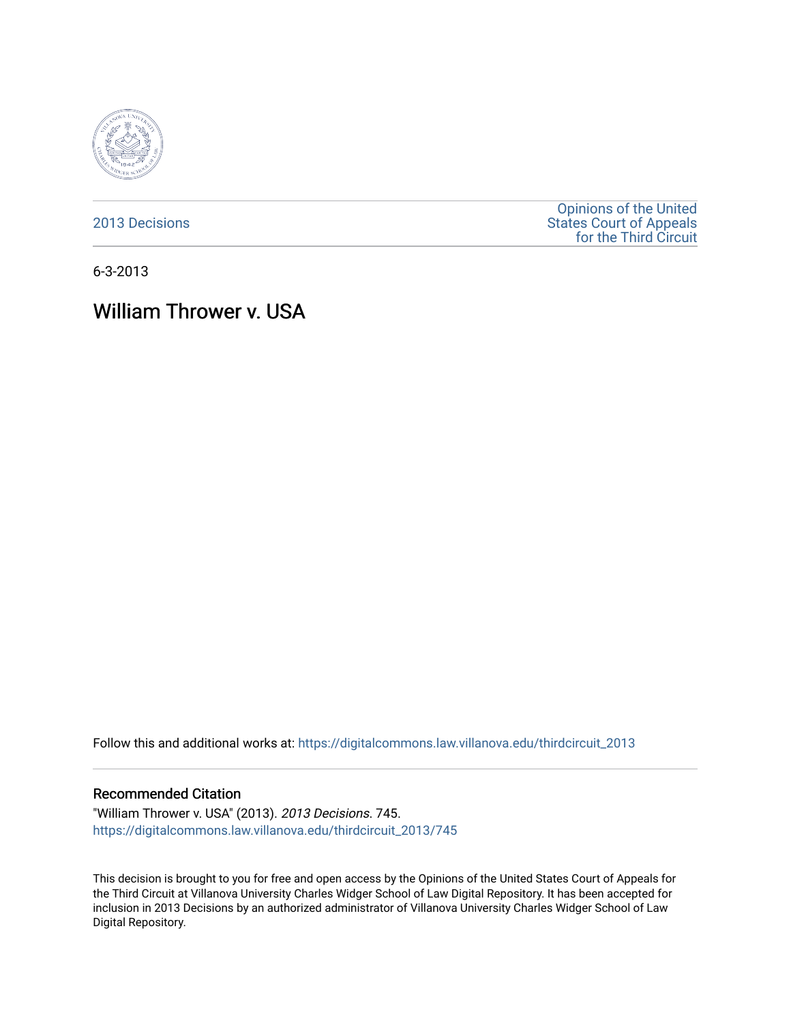

[2013 Decisions](https://digitalcommons.law.villanova.edu/thirdcircuit_2013)

[Opinions of the United](https://digitalcommons.law.villanova.edu/thirdcircuit)  [States Court of Appeals](https://digitalcommons.law.villanova.edu/thirdcircuit)  [for the Third Circuit](https://digitalcommons.law.villanova.edu/thirdcircuit) 

6-3-2013

# William Thrower v. USA

Follow this and additional works at: [https://digitalcommons.law.villanova.edu/thirdcircuit\\_2013](https://digitalcommons.law.villanova.edu/thirdcircuit_2013?utm_source=digitalcommons.law.villanova.edu%2Fthirdcircuit_2013%2F745&utm_medium=PDF&utm_campaign=PDFCoverPages) 

#### Recommended Citation

"William Thrower v. USA" (2013). 2013 Decisions. 745. [https://digitalcommons.law.villanova.edu/thirdcircuit\\_2013/745](https://digitalcommons.law.villanova.edu/thirdcircuit_2013/745?utm_source=digitalcommons.law.villanova.edu%2Fthirdcircuit_2013%2F745&utm_medium=PDF&utm_campaign=PDFCoverPages)

This decision is brought to you for free and open access by the Opinions of the United States Court of Appeals for the Third Circuit at Villanova University Charles Widger School of Law Digital Repository. It has been accepted for inclusion in 2013 Decisions by an authorized administrator of Villanova University Charles Widger School of Law Digital Repository.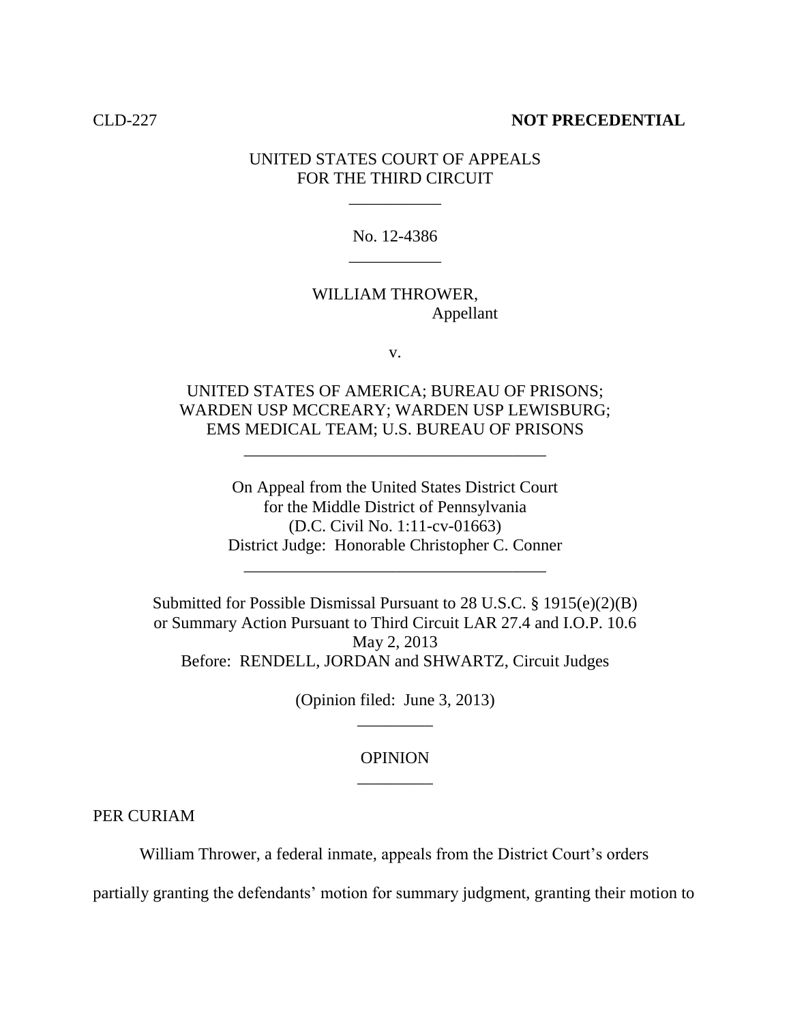#### CLD-227 **NOT PRECEDENTIAL**

# UNITED STATES COURT OF APPEALS FOR THE THIRD CIRCUIT

\_\_\_\_\_\_\_\_\_\_\_

No. 12-4386 \_\_\_\_\_\_\_\_\_\_\_

# WILLIAM THROWER, Appellant

v.

UNITED STATES OF AMERICA; BUREAU OF PRISONS; WARDEN USP MCCREARY; WARDEN USP LEWISBURG; EMS MEDICAL TEAM; U.S. BUREAU OF PRISONS

\_\_\_\_\_\_\_\_\_\_\_\_\_\_\_\_\_\_\_\_\_\_\_\_\_\_\_\_\_\_\_\_\_\_\_\_

On Appeal from the United States District Court for the Middle District of Pennsylvania (D.C. Civil No. 1:11-cv-01663) District Judge: Honorable Christopher C. Conner \_\_\_\_\_\_\_\_\_\_\_\_\_\_\_\_\_\_\_\_\_\_\_\_\_\_\_\_\_\_\_\_\_\_\_\_

Submitted for Possible Dismissal Pursuant to 28 U.S.C. § 1915(e)(2)(B) or Summary Action Pursuant to Third Circuit LAR 27.4 and I.O.P. 10.6 May 2, 2013 Before: RENDELL, JORDAN and SHWARTZ, Circuit Judges

> (Opinion filed: June 3, 2013) \_\_\_\_\_\_\_\_\_

# OPINION \_\_\_\_\_\_\_\_\_

PER CURIAM

William Thrower, a federal inmate, appeals from the District Court's orders

partially granting the defendants' motion for summary judgment, granting their motion to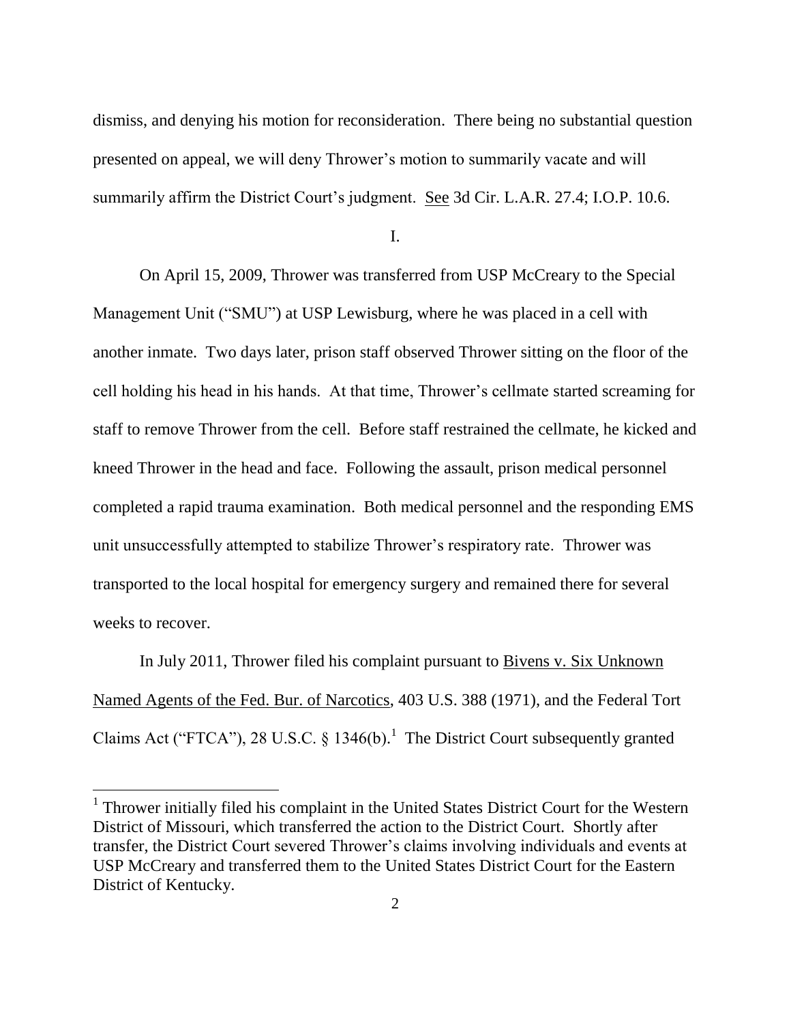dismiss, and denying his motion for reconsideration. There being no substantial question presented on appeal, we will deny Thrower"s motion to summarily vacate and will summarily affirm the District Court's judgment. See 3d Cir. L.A.R. 27.4; I.O.P. 10.6.

I.

On April 15, 2009, Thrower was transferred from USP McCreary to the Special Management Unit ("SMU") at USP Lewisburg, where he was placed in a cell with another inmate. Two days later, prison staff observed Thrower sitting on the floor of the cell holding his head in his hands. At that time, Thrower"s cellmate started screaming for staff to remove Thrower from the cell. Before staff restrained the cellmate, he kicked and kneed Thrower in the head and face. Following the assault, prison medical personnel completed a rapid trauma examination. Both medical personnel and the responding EMS unit unsuccessfully attempted to stabilize Thrower"s respiratory rate. Thrower was transported to the local hospital for emergency surgery and remained there for several weeks to recover.

In July 2011, Thrower filed his complaint pursuant to Bivens v. Six Unknown Named Agents of the Fed. Bur. of Narcotics, 403 U.S. 388 (1971), and the Federal Tort Claims Act ("FTCA"), 28 U.S.C.  $\S$  1346(b).<sup>1</sup> The District Court subsequently granted

 $\overline{a}$ 

<sup>&</sup>lt;sup>1</sup> Thrower initially filed his complaint in the United States District Court for the Western District of Missouri, which transferred the action to the District Court. Shortly after transfer, the District Court severed Thrower"s claims involving individuals and events at USP McCreary and transferred them to the United States District Court for the Eastern District of Kentucky.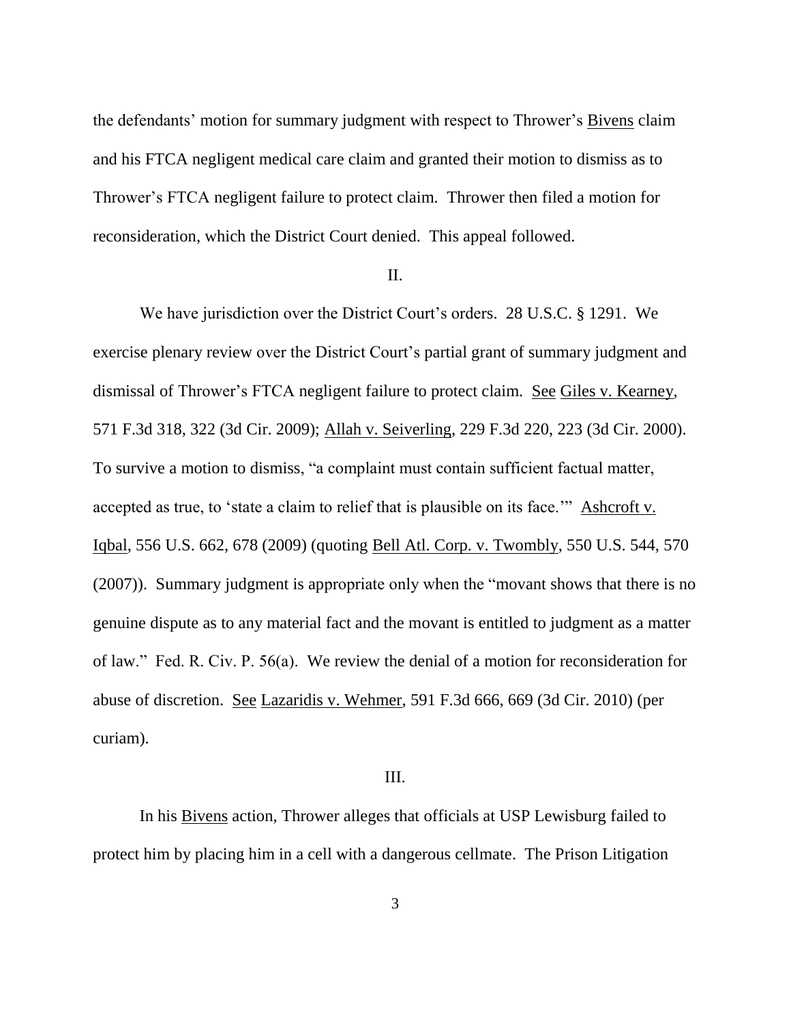the defendants' motion for summary judgment with respect to Thrower's Bivens claim and his FTCA negligent medical care claim and granted their motion to dismiss as to Thrower"s FTCA negligent failure to protect claim. Thrower then filed a motion for reconsideration, which the District Court denied. This appeal followed.

#### II.

We have jurisdiction over the District Court's orders. 28 U.S.C. § 1291. We exercise plenary review over the District Court's partial grant of summary judgment and dismissal of Thrower"s FTCA negligent failure to protect claim. See Giles v. Kearney, 571 F.3d 318, 322 (3d Cir. 2009); Allah v. Seiverling, 229 F.3d 220, 223 (3d Cir. 2000). To survive a motion to dismiss, "a complaint must contain sufficient factual matter, accepted as true, to "state a claim to relief that is plausible on its face."" Ashcroft v. Iqbal, 556 U.S. 662, 678 (2009) (quoting Bell Atl. Corp. v. Twombly, 550 U.S. 544, 570 (2007)). Summary judgment is appropriate only when the "movant shows that there is no genuine dispute as to any material fact and the movant is entitled to judgment as a matter of law." Fed. R. Civ. P. 56(a). We review the denial of a motion for reconsideration for abuse of discretion. See Lazaridis v. Wehmer, 591 F.3d 666, 669 (3d Cir. 2010) (per curiam).

### III.

In his Bivens action, Thrower alleges that officials at USP Lewisburg failed to protect him by placing him in a cell with a dangerous cellmate. The Prison Litigation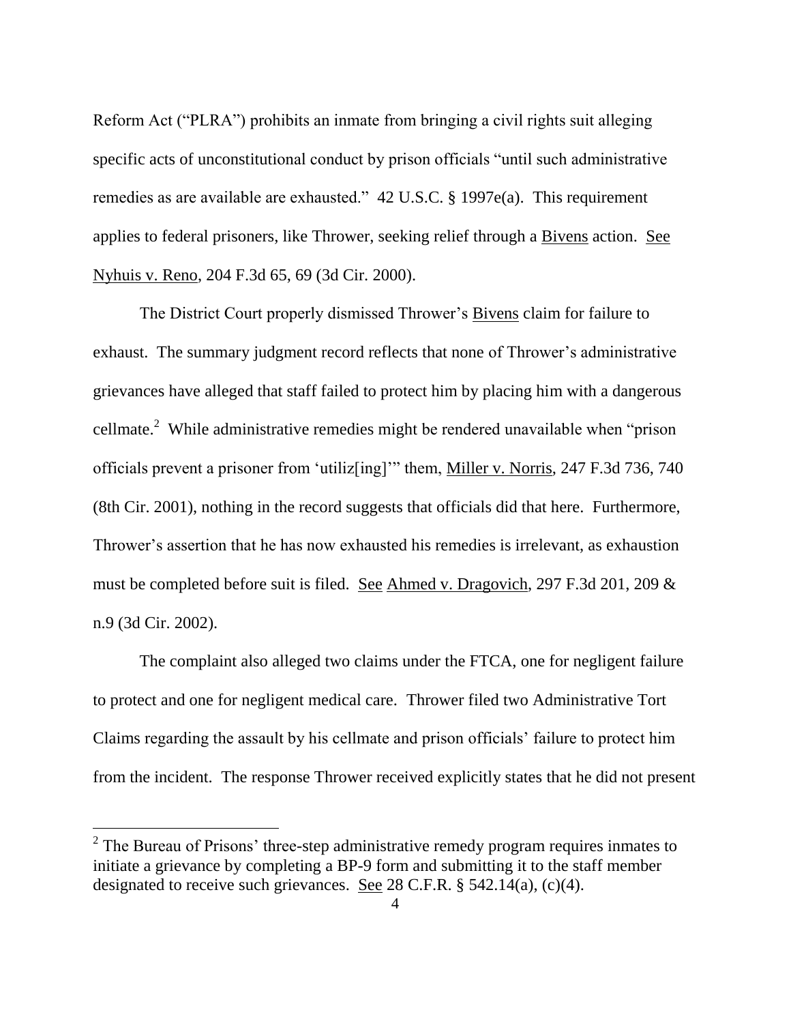Reform Act ("PLRA") prohibits an inmate from bringing a civil rights suit alleging specific acts of unconstitutional conduct by prison officials "until such administrative remedies as are available are exhausted." 42 U.S.C. § 1997e(a). This requirement applies to federal prisoners, like Thrower, seeking relief through a Bivens action. See Nyhuis v. Reno, 204 F.3d 65, 69 (3d Cir. 2000).

The District Court properly dismissed Thrower's Bivens claim for failure to exhaust. The summary judgment record reflects that none of Thrower's administrative grievances have alleged that staff failed to protect him by placing him with a dangerous cellmate.<sup>2</sup> While administrative remedies might be rendered unavailable when "prison officials prevent a prisoner from "utiliz[ing]"" them, Miller v. Norris, 247 F.3d 736, 740 (8th Cir. 2001), nothing in the record suggests that officials did that here. Furthermore, Thrower's assertion that he has now exhausted his remedies is irrelevant, as exhaustion must be completed before suit is filed. See Ahmed v. Dragovich, 297 F.3d 201, 209 & n.9 (3d Cir. 2002).

The complaint also alleged two claims under the FTCA, one for negligent failure to protect and one for negligent medical care. Thrower filed two Administrative Tort Claims regarding the assault by his cellmate and prison officials" failure to protect him from the incident. The response Thrower received explicitly states that he did not present

 $\overline{a}$ 

 $2^2$  The Bureau of Prisons' three-step administrative remedy program requires inmates to initiate a grievance by completing a BP-9 form and submitting it to the staff member designated to receive such grievances. See 28 C.F.R. § 542.14(a), (c)(4).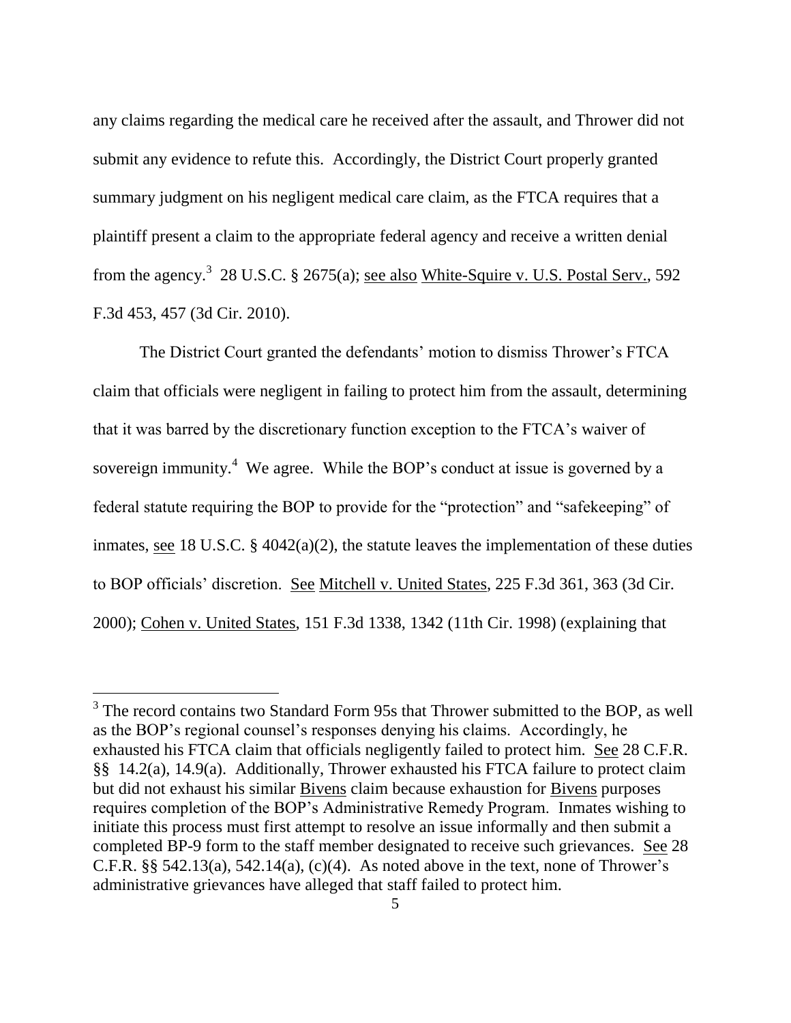any claims regarding the medical care he received after the assault, and Thrower did not submit any evidence to refute this. Accordingly, the District Court properly granted summary judgment on his negligent medical care claim, as the FTCA requires that a plaintiff present a claim to the appropriate federal agency and receive a written denial from the agency.<sup>3</sup> 28 U.S.C. § 2675(a); <u>see also White-Squire v. U.S. Postal Serv.</u>, 592 F.3d 453, 457 (3d Cir. 2010).

The District Court granted the defendants' motion to dismiss Thrower's FTCA claim that officials were negligent in failing to protect him from the assault, determining that it was barred by the discretionary function exception to the FTCA"s waiver of sovereign immunity.<sup>4</sup> We agree. While the BOP's conduct at issue is governed by a federal statute requiring the BOP to provide for the "protection" and "safekeeping" of inmates, see 18 U.S.C.  $\S$  4042(a)(2), the statute leaves the implementation of these duties to BOP officials" discretion. See Mitchell v. United States, 225 F.3d 361, 363 (3d Cir. 2000); Cohen v. United States, 151 F.3d 1338, 1342 (11th Cir. 1998) (explaining that

<sup>&</sup>lt;sup>3</sup> The record contains two Standard Form 95s that Thrower submitted to the BOP, as well as the BOP"s regional counsel"s responses denying his claims. Accordingly, he exhausted his FTCA claim that officials negligently failed to protect him. See 28 C.F.R. §§ 14.2(a), 14.9(a). Additionally, Thrower exhausted his FTCA failure to protect claim but did not exhaust his similar Bivens claim because exhaustion for Bivens purposes requires completion of the BOP"s Administrative Remedy Program. Inmates wishing to initiate this process must first attempt to resolve an issue informally and then submit a completed BP-9 form to the staff member designated to receive such grievances. See 28 C.F.R.  $\S$ § 542.13(a), 542.14(a), (c)(4). As noted above in the text, none of Thrower's administrative grievances have alleged that staff failed to protect him.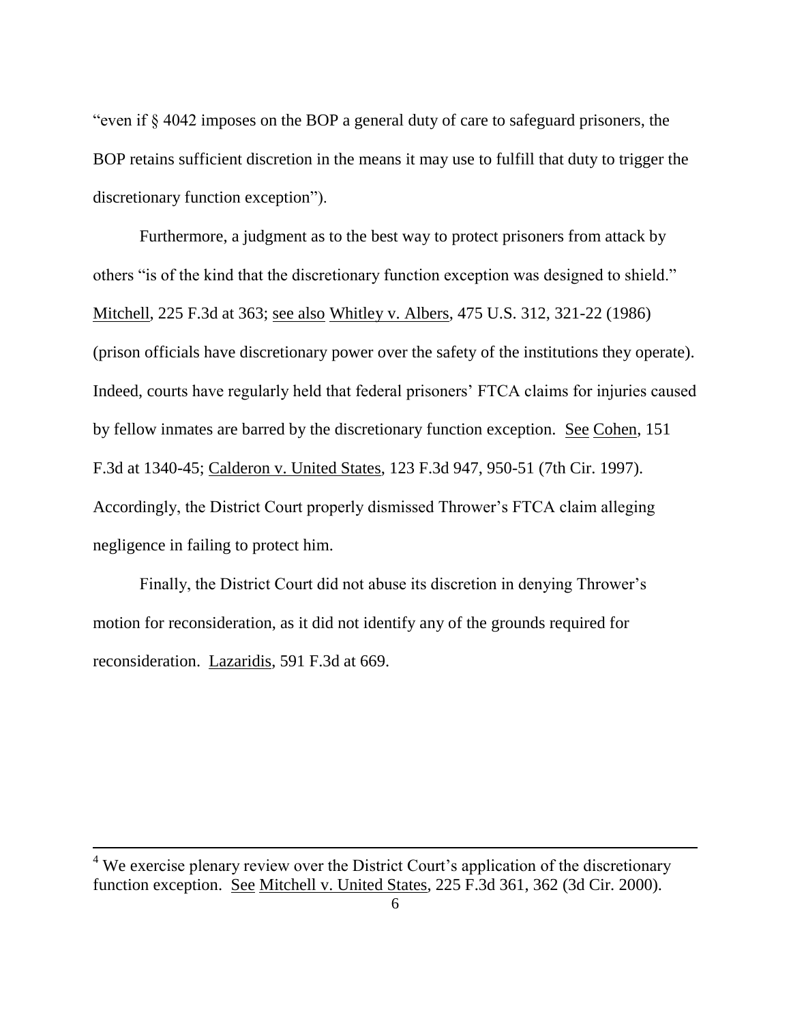"even if § 4042 imposes on the BOP a general duty of care to safeguard prisoners, the BOP retains sufficient discretion in the means it may use to fulfill that duty to trigger the discretionary function exception").

Furthermore, a judgment as to the best way to protect prisoners from attack by others "is of the kind that the discretionary function exception was designed to shield." Mitchell, 225 F.3d at 363; see also Whitley v. Albers, 475 U.S. 312, 321-22 (1986) (prison officials have discretionary power over the safety of the institutions they operate). Indeed, courts have regularly held that federal prisoners" FTCA claims for injuries caused by fellow inmates are barred by the discretionary function exception. See Cohen, 151 F.3d at 1340-45; Calderon v. United States, 123 F.3d 947, 950-51 (7th Cir. 1997). Accordingly, the District Court properly dismissed Thrower"s FTCA claim alleging negligence in failing to protect him.

Finally, the District Court did not abuse its discretion in denying Thrower's motion for reconsideration, as it did not identify any of the grounds required for reconsideration. Lazaridis, 591 F.3d at 669.

 $4$  We exercise plenary review over the District Court's application of the discretionary function exception. See Mitchell v. United States, 225 F.3d 361, 362 (3d Cir. 2000).